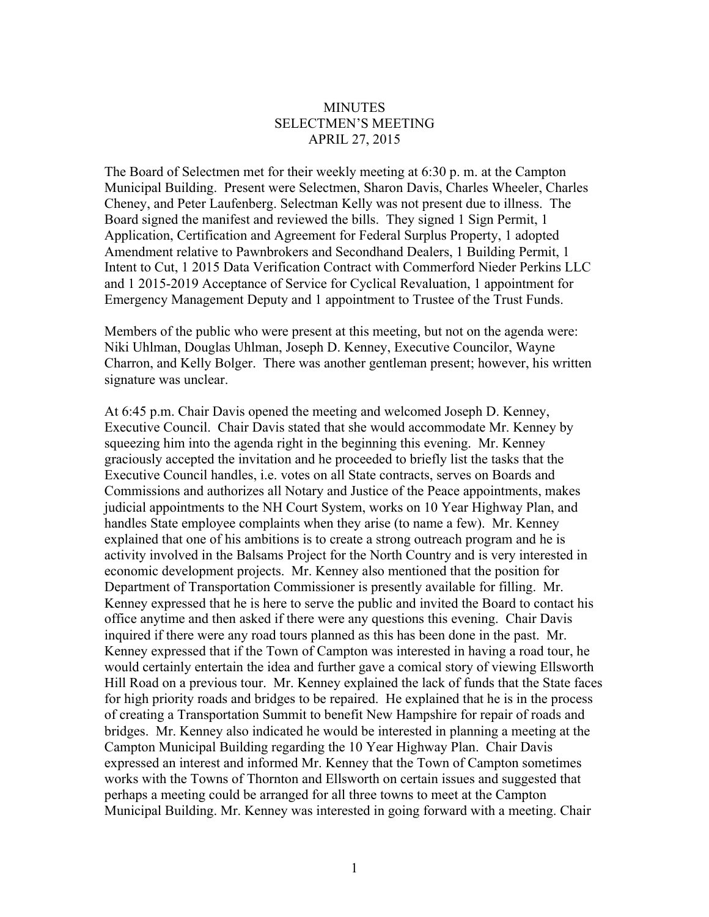## **MINUTES** SELECTMEN'S MEETING APRIL 27, 2015

The Board of Selectmen met for their weekly meeting at 6:30 p. m. at the Campton Municipal Building. Present were Selectmen, Sharon Davis, Charles Wheeler, Charles Cheney, and Peter Laufenberg. Selectman Kelly was not present due to illness. The Board signed the manifest and reviewed the bills. They signed 1 Sign Permit, 1 Application, Certification and Agreement for Federal Surplus Property, 1 adopted Amendment relative to Pawnbrokers and Secondhand Dealers, 1 Building Permit, 1 Intent to Cut, 1 2015 Data Verification Contract with Commerford Nieder Perkins LLC and 1 2015-2019 Acceptance of Service for Cyclical Revaluation, 1 appointment for Emergency Management Deputy and 1 appointment to Trustee of the Trust Funds.

Members of the public who were present at this meeting, but not on the agenda were: Niki Uhlman, Douglas Uhlman, Joseph D. Kenney, Executive Councilor, Wayne Charron, and Kelly Bolger. There was another gentleman present; however, his written signature was unclear.

At 6:45 p.m. Chair Davis opened the meeting and welcomed Joseph D. Kenney, Executive Council. Chair Davis stated that she would accommodate Mr. Kenney by squeezing him into the agenda right in the beginning this evening. Mr. Kenney graciously accepted the invitation and he proceeded to briefly list the tasks that the Executive Council handles, i.e. votes on all State contracts, serves on Boards and Commissions and authorizes all Notary and Justice of the Peace appointments, makes judicial appointments to the NH Court System, works on 10 Year Highway Plan, and handles State employee complaints when they arise (to name a few). Mr. Kenney explained that one of his ambitions is to create a strong outreach program and he is activity involved in the Balsams Project for the North Country and is very interested in economic development projects. Mr. Kenney also mentioned that the position for Department of Transportation Commissioner is presently available for filling. Mr. Kenney expressed that he is here to serve the public and invited the Board to contact his office anytime and then asked if there were any questions this evening. Chair Davis inquired if there were any road tours planned as this has been done in the past. Mr. Kenney expressed that if the Town of Campton was interested in having a road tour, he would certainly entertain the idea and further gave a comical story of viewing Ellsworth Hill Road on a previous tour. Mr. Kenney explained the lack of funds that the State faces for high priority roads and bridges to be repaired. He explained that he is in the process of creating a Transportation Summit to benefit New Hampshire for repair of roads and bridges. Mr. Kenney also indicated he would be interested in planning a meeting at the Campton Municipal Building regarding the 10 Year Highway Plan. Chair Davis expressed an interest and informed Mr. Kenney that the Town of Campton sometimes works with the Towns of Thornton and Ellsworth on certain issues and suggested that perhaps a meeting could be arranged for all three towns to meet at the Campton Municipal Building. Mr. Kenney was interested in going forward with a meeting. Chair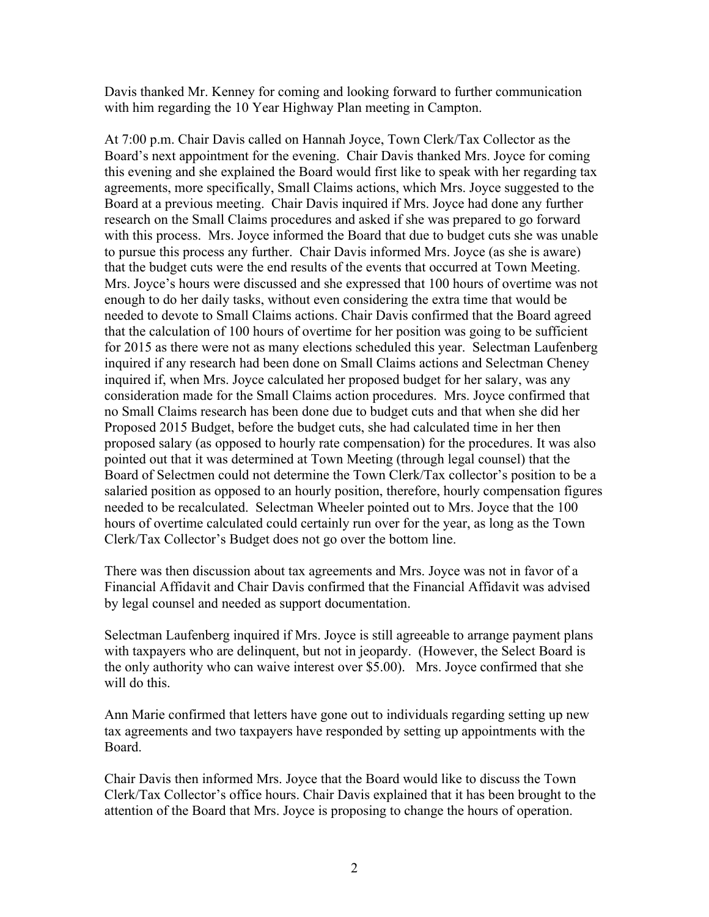Davis thanked Mr. Kenney for coming and looking forward to further communication with him regarding the 10 Year Highway Plan meeting in Campton.

At 7:00 p.m. Chair Davis called on Hannah Joyce, Town Clerk/Tax Collector as the Board's next appointment for the evening. Chair Davis thanked Mrs. Joyce for coming this evening and she explained the Board would first like to speak with her regarding tax agreements, more specifically, Small Claims actions, which Mrs. Joyce suggested to the Board at a previous meeting. Chair Davis inquired if Mrs. Joyce had done any further research on the Small Claims procedures and asked if she was prepared to go forward with this process. Mrs. Joyce informed the Board that due to budget cuts she was unable to pursue this process any further. Chair Davis informed Mrs. Joyce (as she is aware) that the budget cuts were the end results of the events that occurred at Town Meeting. Mrs. Joyce's hours were discussed and she expressed that 100 hours of overtime was not enough to do her daily tasks, without even considering the extra time that would be needed to devote to Small Claims actions. Chair Davis confirmed that the Board agreed that the calculation of 100 hours of overtime for her position was going to be sufficient for 2015 as there were not as many elections scheduled this year. Selectman Laufenberg inquired if any research had been done on Small Claims actions and Selectman Cheney inquired if, when Mrs. Joyce calculated her proposed budget for her salary, was any consideration made for the Small Claims action procedures. Mrs. Joyce confirmed that no Small Claims research has been done due to budget cuts and that when she did her Proposed 2015 Budget, before the budget cuts, she had calculated time in her then proposed salary (as opposed to hourly rate compensation) for the procedures. It was also pointed out that it was determined at Town Meeting (through legal counsel) that the Board of Selectmen could not determine the Town Clerk/Tax collector's position to be a salaried position as opposed to an hourly position, therefore, hourly compensation figures needed to be recalculated. Selectman Wheeler pointed out to Mrs. Joyce that the 100 hours of overtime calculated could certainly run over for the year, as long as the Town Clerk/Tax Collector's Budget does not go over the bottom line.

There was then discussion about tax agreements and Mrs. Joyce was not in favor of a Financial Affidavit and Chair Davis confirmed that the Financial Affidavit was advised by legal counsel and needed as support documentation.

Selectman Laufenberg inquired if Mrs. Joyce is still agreeable to arrange payment plans with taxpayers who are delinquent, but not in jeopardy. (However, the Select Board is the only authority who can waive interest over \$5.00). Mrs. Joyce confirmed that she will do this.

Ann Marie confirmed that letters have gone out to individuals regarding setting up new tax agreements and two taxpayers have responded by setting up appointments with the Board.

Chair Davis then informed Mrs. Joyce that the Board would like to discuss the Town Clerk/Tax Collector's office hours. Chair Davis explained that it has been brought to the attention of the Board that Mrs. Joyce is proposing to change the hours of operation.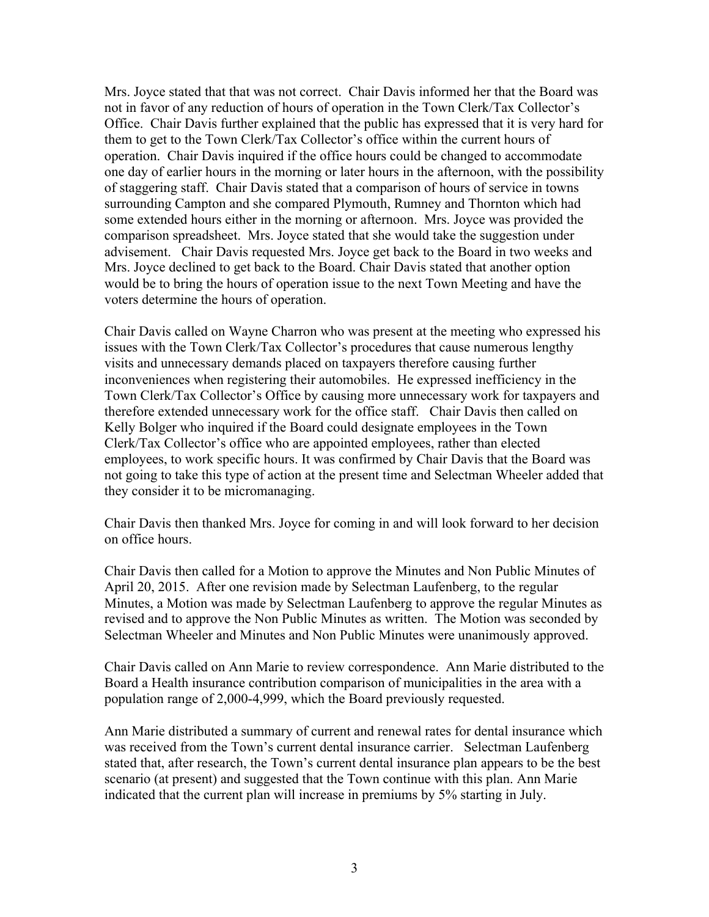Mrs. Joyce stated that that was not correct. Chair Davis informed her that the Board was not in favor of any reduction of hours of operation in the Town Clerk/Tax Collector's Office. Chair Davis further explained that the public has expressed that it is very hard for them to get to the Town Clerk/Tax Collector's office within the current hours of operation. Chair Davis inquired if the office hours could be changed to accommodate one day of earlier hours in the morning or later hours in the afternoon, with the possibility of staggering staff. Chair Davis stated that a comparison of hours of service in towns surrounding Campton and she compared Plymouth, Rumney and Thornton which had some extended hours either in the morning or afternoon. Mrs. Joyce was provided the comparison spreadsheet. Mrs. Joyce stated that she would take the suggestion under advisement. Chair Davis requested Mrs. Joyce get back to the Board in two weeks and Mrs. Joyce declined to get back to the Board. Chair Davis stated that another option would be to bring the hours of operation issue to the next Town Meeting and have the voters determine the hours of operation.

Chair Davis called on Wayne Charron who was present at the meeting who expressed his issues with the Town Clerk/Tax Collector's procedures that cause numerous lengthy visits and unnecessary demands placed on taxpayers therefore causing further inconveniences when registering their automobiles. He expressed inefficiency in the Town Clerk/Tax Collector's Office by causing more unnecessary work for taxpayers and therefore extended unnecessary work for the office staff. Chair Davis then called on Kelly Bolger who inquired if the Board could designate employees in the Town Clerk/Tax Collector's office who are appointed employees, rather than elected employees, to work specific hours. It was confirmed by Chair Davis that the Board was not going to take this type of action at the present time and Selectman Wheeler added that they consider it to be micromanaging.

Chair Davis then thanked Mrs. Joyce for coming in and will look forward to her decision on office hours.

Chair Davis then called for a Motion to approve the Minutes and Non Public Minutes of April 20, 2015. After one revision made by Selectman Laufenberg, to the regular Minutes, a Motion was made by Selectman Laufenberg to approve the regular Minutes as revised and to approve the Non Public Minutes as written. The Motion was seconded by Selectman Wheeler and Minutes and Non Public Minutes were unanimously approved.

Chair Davis called on Ann Marie to review correspondence. Ann Marie distributed to the Board a Health insurance contribution comparison of municipalities in the area with a population range of 2,000-4,999, which the Board previously requested.

Ann Marie distributed a summary of current and renewal rates for dental insurance which was received from the Town's current dental insurance carrier. Selectman Laufenberg stated that, after research, the Town's current dental insurance plan appears to be the best scenario (at present) and suggested that the Town continue with this plan. Ann Marie indicated that the current plan will increase in premiums by 5% starting in July.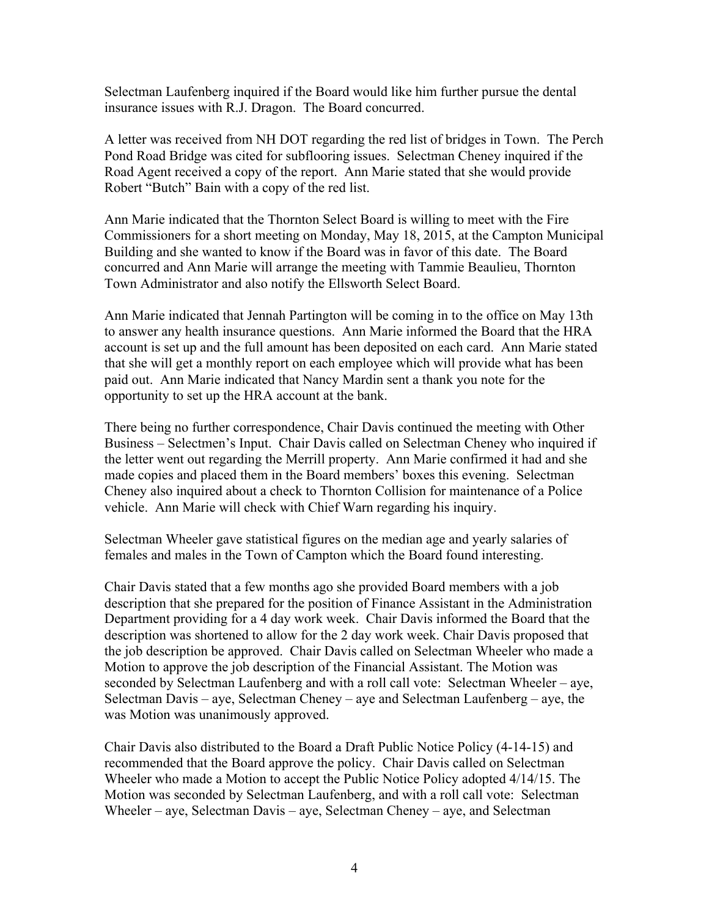Selectman Laufenberg inquired if the Board would like him further pursue the dental insurance issues with R.J. Dragon. The Board concurred.

A letter was received from NH DOT regarding the red list of bridges in Town. The Perch Pond Road Bridge was cited for subflooring issues. Selectman Cheney inquired if the Road Agent received a copy of the report. Ann Marie stated that she would provide Robert "Butch" Bain with a copy of the red list.

Ann Marie indicated that the Thornton Select Board is willing to meet with the Fire Commissioners for a short meeting on Monday, May 18, 2015, at the Campton Municipal Building and she wanted to know if the Board was in favor of this date. The Board concurred and Ann Marie will arrange the meeting with Tammie Beaulieu, Thornton Town Administrator and also notify the Ellsworth Select Board.

Ann Marie indicated that Jennah Partington will be coming in to the office on May 13th to answer any health insurance questions. Ann Marie informed the Board that the HRA account is set up and the full amount has been deposited on each card. Ann Marie stated that she will get a monthly report on each employee which will provide what has been paid out. Ann Marie indicated that Nancy Mardin sent a thank you note for the opportunity to set up the HRA account at the bank.

There being no further correspondence, Chair Davis continued the meeting with Other Business – Selectmen's Input. Chair Davis called on Selectman Cheney who inquired if the letter went out regarding the Merrill property. Ann Marie confirmed it had and she made copies and placed them in the Board members' boxes this evening. Selectman Cheney also inquired about a check to Thornton Collision for maintenance of a Police vehicle. Ann Marie will check with Chief Warn regarding his inquiry.

Selectman Wheeler gave statistical figures on the median age and yearly salaries of females and males in the Town of Campton which the Board found interesting.

Chair Davis stated that a few months ago she provided Board members with a job description that she prepared for the position of Finance Assistant in the Administration Department providing for a 4 day work week. Chair Davis informed the Board that the description was shortened to allow for the 2 day work week. Chair Davis proposed that the job description be approved. Chair Davis called on Selectman Wheeler who made a Motion to approve the job description of the Financial Assistant. The Motion was seconded by Selectman Laufenberg and with a roll call vote: Selectman Wheeler – aye, Selectman Davis – aye, Selectman Cheney – aye and Selectman Laufenberg – aye, the was Motion was unanimously approved.

Chair Davis also distributed to the Board a Draft Public Notice Policy (4-14-15) and recommended that the Board approve the policy. Chair Davis called on Selectman Wheeler who made a Motion to accept the Public Notice Policy adopted 4/14/15. The Motion was seconded by Selectman Laufenberg, and with a roll call vote: Selectman Wheeler – aye, Selectman Davis – aye, Selectman Cheney – aye, and Selectman